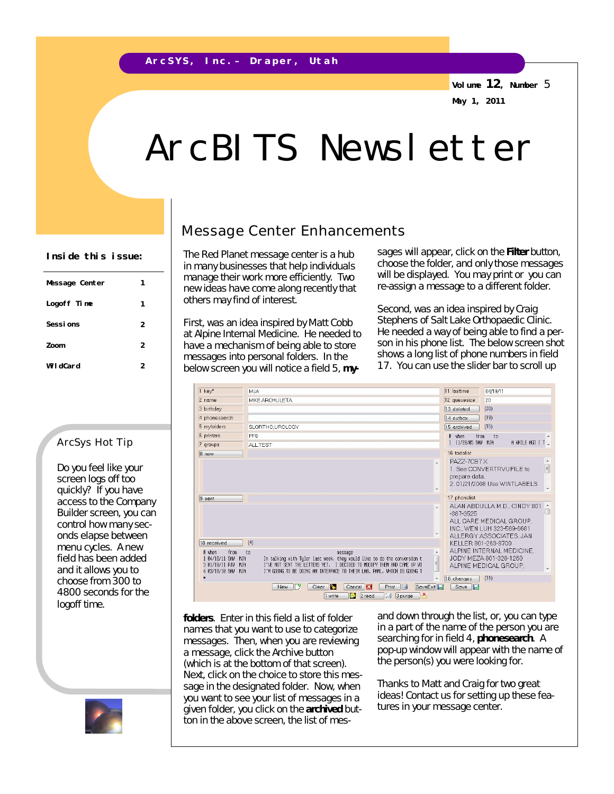**Volume 12, Number** 5 **May 1, 2011**

# ArcBITS Newsletter

| Message Center | 1 |
|----------------|---|
| Logoff Time    | 1 |
| Sessions       | 2 |
| Zoom           | 2 |
| WildCard       | 2 |

#### ArcSys Hot Tip

Do you feel like your screen logs off too quickly? If you have access to the Company Builder screen, you can control how many seconds elapse between menu cycles. A new field has been added and it allows you to choose from 300 to 4800 seconds for the logoff time.



### Message Center Enhancements

The Red Planet message center is a hub in many businesses that help individuals manage their work more efficiently. Two new ideas have come along recently that others may find of interest.

First, was an idea inspired by Matt Cobb at Alpine Internal Medicine. He needed to have a mechanism of being able to store messages into personal folders. In the below screen you will notice a field 5, **my-**

Inside this issue: **Fig. 1** The Red Planet message center is a hub sages will appear, click on the Filter button, choose the folder, and only those messages will be displayed. You may print or you can re-assign a message to a different folder.

> Second, was an idea inspired by Craig Stephens of Salt Lake Orthopaedic Clinic. He needed a way of being able to find a person in his phone list. The below screen shot shows a long list of phone numbers in field 17. You can use the slider bar to scroll up

| 1 kev*                                                                                                 | <b>MJA</b>                                                                                                                                                                                                                                                                                                                       | 11 lasttime<br>04/19/11                                                                                                                |
|--------------------------------------------------------------------------------------------------------|----------------------------------------------------------------------------------------------------------------------------------------------------------------------------------------------------------------------------------------------------------------------------------------------------------------------------------|----------------------------------------------------------------------------------------------------------------------------------------|
| 2 name                                                                                                 | <b>MIKE ARCHULETA</b>                                                                                                                                                                                                                                                                                                            | 12 queuesize<br>20                                                                                                                     |
| 3 birthday                                                                                             |                                                                                                                                                                                                                                                                                                                                  | (20)<br>13 deleted                                                                                                                     |
| 4 phonesearch                                                                                          |                                                                                                                                                                                                                                                                                                                                  | (19)<br>14 outbox                                                                                                                      |
| 5 myfolders                                                                                            | SLORTHO, UROLOGY                                                                                                                                                                                                                                                                                                                 | (15)<br>15 archived                                                                                                                    |
| 6 printers                                                                                             | PF <sub>0</sub>                                                                                                                                                                                                                                                                                                                  | when<br>from<br>to                                                                                                                     |
| 7 groups                                                                                               | ALL TEST                                                                                                                                                                                                                                                                                                                         | 1 11/28/R5 SAW MJA<br>A WHILE AGO I T                                                                                                  |
| 8 new                                                                                                  |                                                                                                                                                                                                                                                                                                                                  | 16 todolist                                                                                                                            |
|                                                                                                        | PAZZ-7CB7X<br>1. See CONVERTRVUFILE to<br>prepare data.<br>2.01/21/2008 Use WINTLABELS                                                                                                                                                                                                                                           |                                                                                                                                        |
| 9 sent                                                                                                 |                                                                                                                                                                                                                                                                                                                                  | 17 phonelist                                                                                                                           |
|                                                                                                        |                                                                                                                                                                                                                                                                                                                                  | ALAN ABDULLA M.D., CINDY 801<br>۰<br>$-387 - 3525$<br>ALL CARE MEDICAL GROUP.<br>INC., WEN LUH 323-589-6681<br>ALLERGY ASSOCIATES, JAN |
| 10 received<br>from<br># when<br>1 84/18/11 SAW<br>MJA<br>3 01/19/11 PJW<br>M.TA<br>4 03/18/10 SAM MJA | (4)<br>to<br>$\blacktriangle$<br>message<br>In talking with Tyler last week, they would like to do the conversion t<br>$\overline{\phantom{a}}$<br>I'VE NOT SENT THE LETTERS YET. I DECIDED TO MODIFY THEM AND CAME UP WI<br>I'M GOING TO BE DOING AN INTERFACE TO THEIR LAB, PAML, WHICH IS GOING T<br>$\overline{\phantom{0}}$ | KELLER 801-263-8700<br>ALPINE INTERNAL MEDICINE.<br>JODY MEZA 801-328-1260<br>ALPINE MEDICAL GROUP,<br>(31)<br>18 changes              |
|                                                                                                        | IГY<br>Clear <b>D</b><br>Cancel <b>E</b><br>SaveExit<br>Print<br>$\Box$<br>New<br>3 purge<br>IX.<br>2 read<br>回<br>1 write<br>$\mathbf{a}$                                                                                                                                                                                       | Save $\Box$                                                                                                                            |

**folders**. Enter in this field a list of folder names that you want to use to categorize messages. Then, when you are reviewing a message, click the Archive button (which is at the bottom of that screen). Next, click on the choice to store this message in the designated folder. Now, when you want to see your list of messages in a given folder, you click on the **archived** button in the above screen, the list of mesand down through the list, or, you can type in a part of the name of the person you are searching for in field 4, **phonesearch**. A pop-up window will appear with the name of the person(s) you were looking for.

Thanks to Matt and Craig for two great ideas! Contact us for setting up these features in your message center.